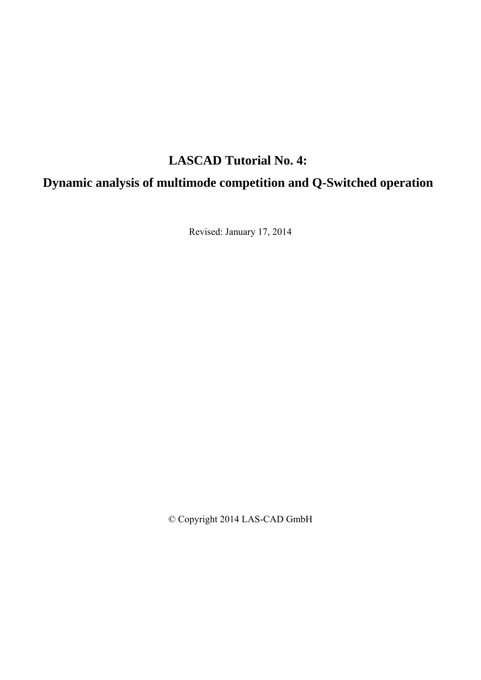# **LASCAD Tutorial No. 4:**

# **Dynamic analysis of multimode competition and Q-Switched operation**

Revised: January 17, 2014

© Copyright 2014 LAS-CAD GmbH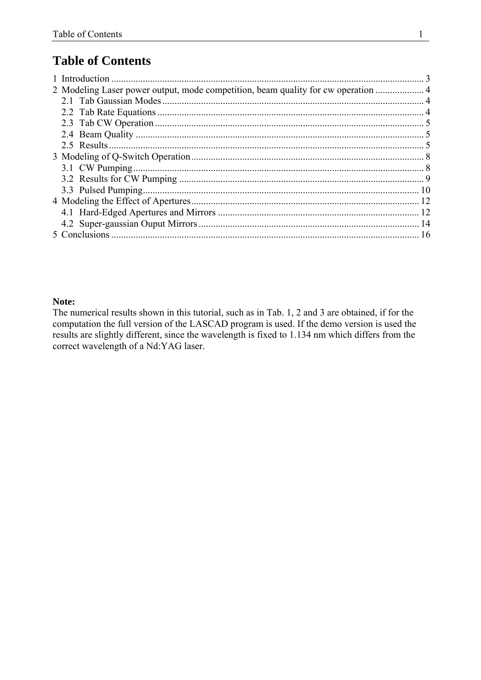## **Table of Contents**

| 2 Modeling Laser power output, mode competition, beam quality for cw operation  4 |  |
|-----------------------------------------------------------------------------------|--|
|                                                                                   |  |
|                                                                                   |  |
|                                                                                   |  |
|                                                                                   |  |
| 2.5 Results                                                                       |  |
|                                                                                   |  |
|                                                                                   |  |
|                                                                                   |  |
|                                                                                   |  |
|                                                                                   |  |
|                                                                                   |  |
|                                                                                   |  |
|                                                                                   |  |
|                                                                                   |  |

#### Note:

The numerical results shown in this tutorial, such as in Tab. 1, 2 and 3 are obtained, if for the computation the full version of the LASCAD program is used. If the demo version is used the results are slightly different, since the wavelength is fixed to 1.134 nm which differs from the correct wavelength of a Nd:YAG laser.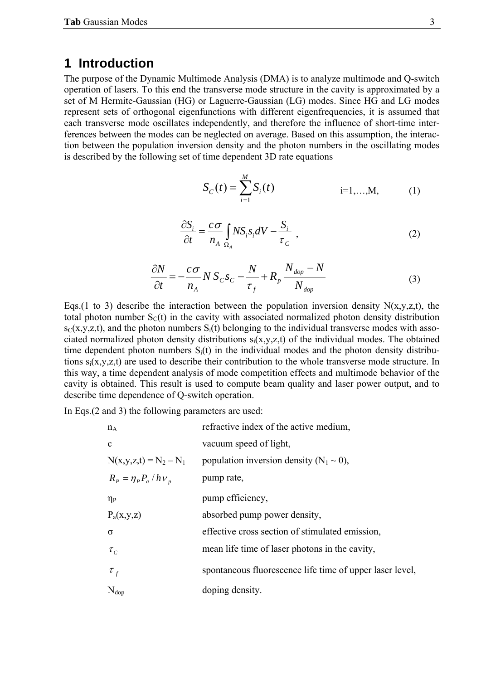### <span id="page-4-0"></span>**1 Introduction**

The purpose of the Dynamic Multimode Analysis (DMA) is to analyze multimode and Q-switch operation of lasers. To this end the transverse mode structure in the cavity is approximated by a set of M Hermite-Gaussian (HG) or Laguerre-Gaussian (LG) modes. Since HG and LG modes represent sets of orthogonal eigenfunctions with different eigenfrequencies, it is assumed that each transverse mode oscillates independently, and therefore the influence of short-time interferences between the modes can be neglected on average. Based on this assumption, the interaction between the population inversion density and the photon numbers in the oscillating modes is described by the following set of time dependent 3D rate equations

$$
S_C(t) = \sum_{i=1}^{M} S_i(t) \qquad \qquad i=1,...,M, \qquad (1)
$$

$$
\frac{\partial S_i}{\partial t} = \frac{c\,\sigma}{n_A} \int_{\Omega_A} N S_i s_i dV - \frac{S_i}{\tau_C} \tag{2}
$$

$$
\frac{\partial N}{\partial t} = -\frac{c\sigma}{n_A} N S_C s_C - \frac{N}{\tau_f} + R_p \frac{N_{dop} - N}{N_{dop}}
$$
(3)

Eqs.(1 to 3) describe the interaction between the population inversion density  $N(x,y,z,t)$ , the total photon number  $S<sub>C</sub>(t)$  in the cavity with associated normalized photon density distribution  $s_C(x,y,z,t)$ , and the photon numbers  $S_i(t)$  belonging to the individual transverse modes with associated normalized photon density distributions  $s_i(x,y,z,t)$  of the individual modes. The obtained time dependent photon numbers  $S_i(t)$  in the individual modes and the photon density distributions si(x,y,z,t) are used to describe their contribution to the whole transverse mode structure. In this way, a time dependent analysis of mode competition effects and multimode behavior of the cavity is obtained. This result is used to compute beam quality and laser power output, and to describe time dependence of Q-switch operation.

In Eqs.(2 and 3) the following parameters are used:

| $n_A$                      | refractive index of the active medium,                   |
|----------------------------|----------------------------------------------------------|
| $\mathbf{c}$               | vacuum speed of light,                                   |
| $N(x,y,z,t) = N_2 - N_1$   | population inversion density $(N_1 \sim 0)$ ,            |
| $R_p = \eta_p P_a / h v_p$ | pump rate,                                               |
| $\eta_{\rm P}$             | pump efficiency,                                         |
| $P_a(x,y,z)$               | absorbed pump power density,                             |
| σ                          | effective cross section of stimulated emission,          |
| $\tau_c$                   | mean life time of laser photons in the cavity,           |
| $\tau_{f}$                 | spontaneous fluorescence life time of upper laser level, |
| $N_{\text{dop}}$           | doping density.                                          |
|                            |                                                          |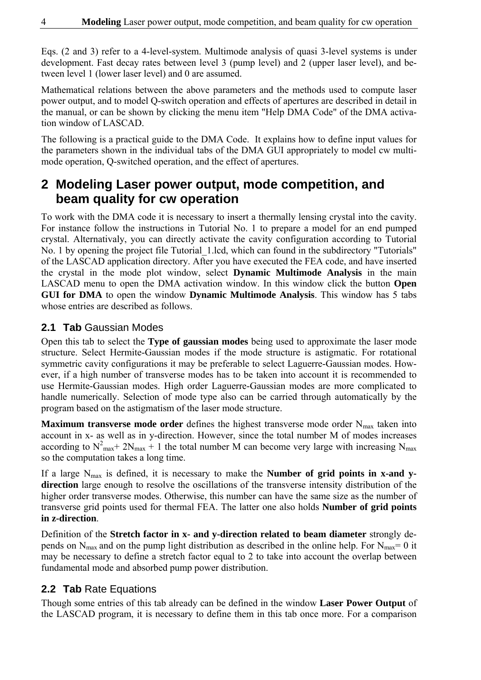<span id="page-5-0"></span>Eqs. (2 and 3) refer to a 4-level-system. Multimode analysis of quasi 3-level systems is under development. Fast decay rates between level 3 (pump level) and 2 (upper laser level), and between level 1 (lower laser level) and 0 are assumed.

Mathematical relations between the above parameters and the methods used to compute laser power output, and to model Q-switch operation and effects of apertures are described in detail in the manual, or can be shown by clicking the menu item "Help DMA Code" of the DMA activation window of LASCAD.

The following is a practical guide to the DMA Code. It explains how to define input values for the parameters shown in the individual tabs of the DMA GUI appropriately to model cw multimode operation, Q-switched operation, and the effect of apertures.

## **2 Modeling Laser power output, mode competition, and beam quality for cw operation**

To work with the DMA code it is necessary to insert a thermally lensing crystal into the cavity. For instance follow the instructions in Tutorial No. 1 to prepare a model for an end pumped crystal. Alternativaly, you can directly activate the cavity configuration according to Tutorial No. 1 by opening the project file Tutorial\_1.lcd, which can found in the subdirectory "Tutorials" of the LASCAD application directory. After you have executed the FEA code, and have inserted the crystal in the mode plot window, select **Dynamic Multimode Analysis** in the main LASCAD menu to open the DMA activation window. In this window click the button **Open GUI for DMA** to open the window **Dynamic Multimode Analysis**. This window has 5 tabs whose entries are described as follows.

### **2.1 Tab** Gaussian Modes

Open this tab to select the **Type of gaussian modes** being used to approximate the laser mode structure. Select Hermite-Gaussian modes if the mode structure is astigmatic. For rotational symmetric cavity configurations it may be preferable to select Laguerre-Gaussian modes. However, if a high number of transverse modes has to be taken into account it is recommended to use Hermite-Gaussian modes. High order Laguerre-Gaussian modes are more complicated to handle numerically. Selection of mode type also can be carried through automatically by the program based on the astigmatism of the laser mode structure.

**Maximum transverse mode order** defines the highest transverse mode order N<sub>max</sub> taken into account in x- as well as in y-direction. However, since the total number M of modes increases according to  $N^2$ <sub>max</sub> + 2N<sub>max</sub> + 1 the total number M can become very large with increasing N<sub>max</sub> so the computation takes a long time.

If a large N<sub>max</sub> is defined, it is necessary to make the **Number of grid points in x-and ydirection** large enough to resolve the oscillations of the transverse intensity distribution of the higher order transverse modes. Otherwise, this number can have the same size as the number of transverse grid points used for thermal FEA. The latter one also holds **Number of grid points in z-direction**.

Definition of the **Stretch factor in x- and y-direction related to beam diameter** strongly depends on  $N_{\text{max}}$  and on the pump light distribution as described in the online help. For  $N_{\text{max}}=0$  it may be necessary to define a stretch factor equal to 2 to take into account the overlap between fundamental mode and absorbed pump power distribution.

## **2.2 Tab** Rate Equations

Though some entries of this tab already can be defined in the window **Laser Power Output** of the LASCAD program, it is necessary to define them in this tab once more. For a comparison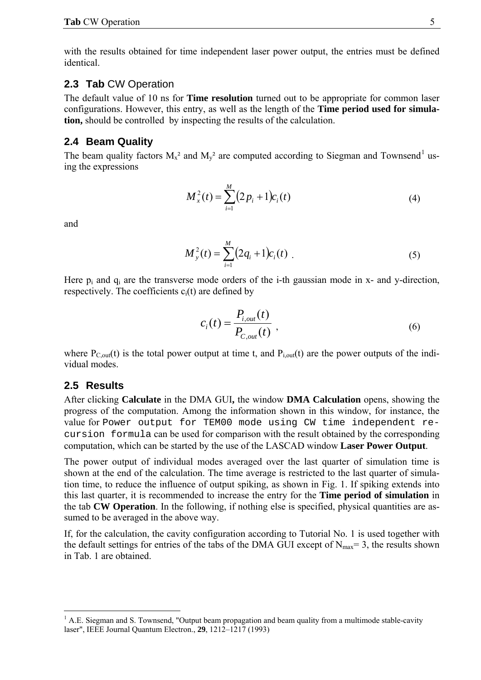<span id="page-6-0"></span>with the results obtained for time independent laser power output, the entries must be defined identical.

#### **2.3 Tab** CW Operation

The default value of 10 ns for **Time resolution** turned out to be appropriate for common laser configurations. However, this entry, as well as the length of the **Time period used for simulation,** should be controlled by inspecting the results of the calculation.

#### **2.4 Beam Quality**

The beam quality factors  $M_x^2$  and  $M_y^2$  are computed according to Siegman and Townsend<sup>[1](#page-6-1)</sup> using the expressions

$$
M_x^2(t) = \sum_{i=1}^M (2p_i + 1)c_i(t)
$$
 (4)

and

$$
M_{y}^{2}(t) = \sum_{i=1}^{M} (2q_{i} + 1)c_{i}(t)
$$
 (5)

Here  $p_i$  and  $q_i$  are the transverse mode orders of the i-th gaussian mode in x- and y-direction, respectively. The coefficients  $c_i(t)$  are defined by

$$
c_i(t) = \frac{P_{i,out}(t)}{P_{c,out}(t)}\,,\tag{6}
$$

where  $P_{C, out}(t)$  is the total power output at time t, and  $P_{i,out}(t)$  are the power outputs of the individual modes.

#### **2.5 Results**

 $\overline{a}$ 

After clicking **Calculate** in the DMA GUI**,** the window **DMA Calculation** opens, showing the progress of the computation. Among the information shown in this window, for instance, the value for Power output for TEM00 mode using CW time independent recursion formula can be used for comparison with the result obtained by the corresponding computation, which can be started by the use of the LASCAD window **Laser Power Output**.

The power output of individual modes averaged over the last quarter of simulation time is shown at the end of the calculation. The time average is restricted to the last quarter of simulation time, to reduce the influence of output spiking, as shown in Fig. 1. If spiking extends into this last quarter, it is recommended to increase the entry for the **Time period of simulation** in the tab **CW Operation**. In the following, if nothing else is specified, physical quantities are assumed to be averaged in the above way.

If, for the calculation, the cavity configuration according to Tutorial No. 1 is used together with the default settings for entries of the tabs of the DMA GUI except of  $N_{\text{max}}=3$ , the results shown in Tab. 1 are obtained.

<span id="page-6-1"></span> $<sup>1</sup>$  A.E. Siegman and S. Townsend, "Output beam propagation and beam quality from a multimode stable-cavity</sup> laser", IEEE Journal Quantum Electron., **29**, 1212–1217 (1993)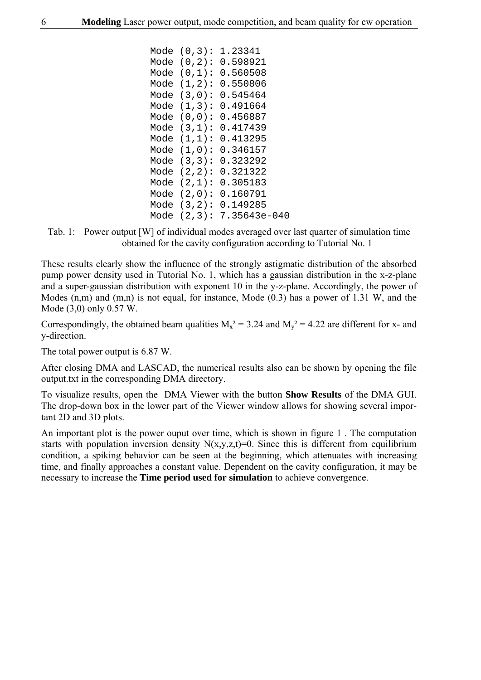| Mode | (0,3):     | 1.23341      |
|------|------------|--------------|
| Mode | $(0, 2)$ : | 0.598921     |
| Mode | (0,1):     | 0.560508     |
| Mode | (1,2):     | 0.550806     |
| Mode | (3,0):     | 0.545464     |
| Mode | (1,3):     | 0.491664     |
| Mode | (0,0):     | 0.456887     |
| Mode | (3,1):     | 0.417439     |
| Mode | (1,1):     | 0.413295     |
| Mode | (1,0):     | 0.346157     |
| Mode | (3,3):     | 0.323292     |
| Mode | $(2, 2)$ : | 0.321322     |
| Mode | (2,1):     | 0.305183     |
| Mode | (2,0):     | 0.160791     |
| Mode | (3,2):     | 0.149285     |
| Mode | (2,3):     | 7.35643e-040 |
|      |            |              |

Tab. 1: Power output [W] of individual modes averaged over last quarter of simulation time obtained for the cavity configuration according to Tutorial No. 1

These results clearly show the influence of the strongly astigmatic distribution of the absorbed pump power density used in Tutorial No. 1, which has a gaussian distribution in the x-z-plane and a super-gaussian distribution with exponent 10 in the y-z-plane. Accordingly, the power of Modes (n,m) and (m,n) is not equal, for instance, Mode (0.3) has a power of 1.31 W, and the Mode (3,0) only 0.57 W.

Correspondingly, the obtained beam qualities  $M_x^2 = 3.24$  and  $M_y^2 = 4.22$  are different for x- and y-direction.

The total power output is 6.87 W.

After closing DMA and LASCAD, the numerical results also can be shown by opening the file output.txt in the corresponding DMA directory.

To visualize results, open the DMA Viewer with the button **Show Results** of the DMA GUI. The drop-down box in the lower part of the Viewer window allows for showing several important 2D and 3D plots.

An important plot is the power ouput over time, which is shown in figure 1 . The computation starts with population inversion density  $N(x,y,z,t)=0$ . Since this is different from equilibrium condition, a spiking behavior can be seen at the beginning, which attenuates with increasing time, and finally approaches a constant value. Dependent on the cavity configuration, it may be necessary to increase the **Time period used for simulation** to achieve convergence.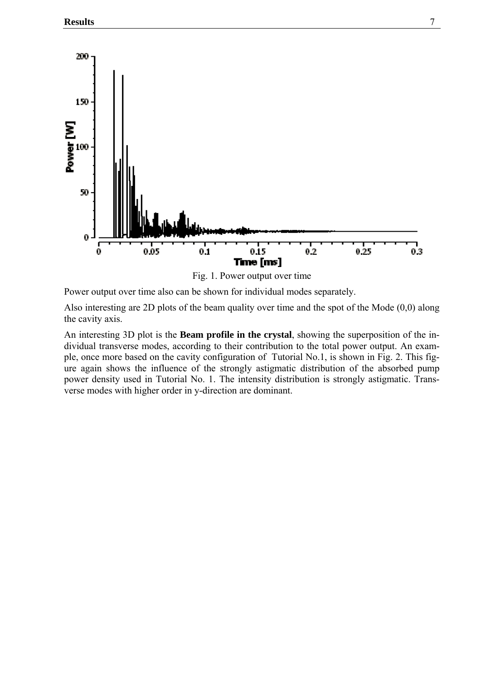

Fig. 1. Power output over time

Power output over time also can be shown for individual modes separately.

Also interesting are 2D plots of the beam quality over time and the spot of the Mode (0,0) along the cavity axis.

An interesting 3D plot is the **Beam profile in the crystal**, showing the superposition of the individual transverse modes, according to their contribution to the total power output. An example, once more based on the cavity configuration of Tutorial No.1, is shown in Fig. 2. This figure again shows the influence of the strongly astigmatic distribution of the absorbed pump power density used in Tutorial No. 1. The intensity distribution is strongly astigmatic. Transverse modes with higher order in y-direction are dominant.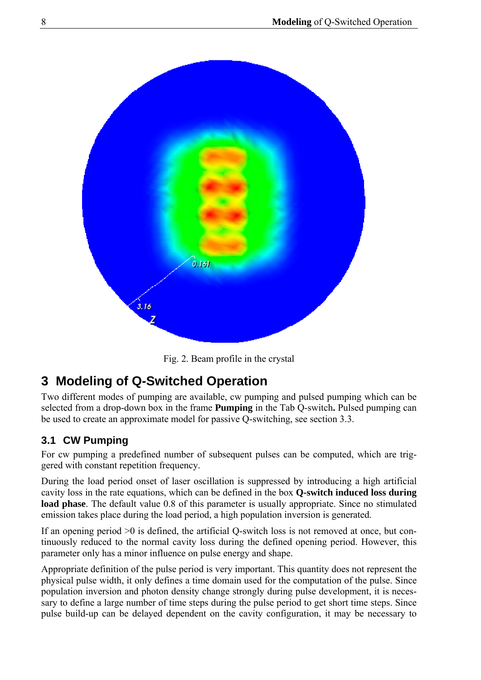<span id="page-9-0"></span>

Fig. 2. Beam profile in the crystal

# **3 Modeling of Q-Switched Operation**

Two different modes of pumping are available, cw pumping and pulsed pumping which can be selected from a drop-down box in the frame **Pumping** in the Tab Q-switch**.** Pulsed pumping can be used to create an approximate model for passive Q-switching, see section 3.3.

## **3.1 CW Pumping**

For cw pumping a predefined number of subsequent pulses can be computed, which are triggered with constant repetition frequency.

During the load period onset of laser oscillation is suppressed by introducing a high artificial cavity loss in the rate equations, which can be defined in the box **Q-switch induced loss during load phase**. The default value 0.8 of this parameter is usually appropriate. Since no stimulated emission takes place during the load period, a high population inversion is generated.

If an opening period >0 is defined, the artificial Q-switch loss is not removed at once, but continuously reduced to the normal cavity loss during the defined opening period. However, this parameter only has a minor influence on pulse energy and shape.

Appropriate definition of the pulse period is very important. This quantity does not represent the physical pulse width, it only defines a time domain used for the computation of the pulse. Since population inversion and photon density change strongly during pulse development, it is necessary to define a large number of time steps during the pulse period to get short time steps. Since pulse build-up can be delayed dependent on the cavity configuration, it may be necessary to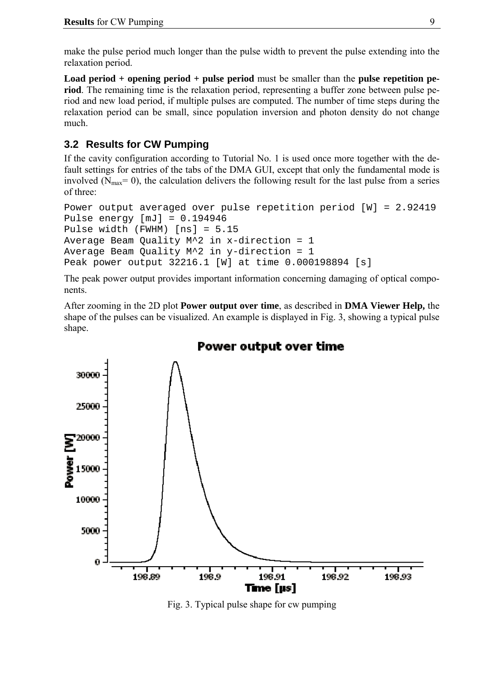<span id="page-10-0"></span>make the pulse period much longer than the pulse width to prevent the pulse extending into the relaxation period.

**Load period + opening period + pulse period** must be smaller than the **pulse repetition period**. The remaining time is the relaxation period, representing a buffer zone between pulse period and new load period, if multiple pulses are computed. The number of time steps during the relaxation period can be small, since population inversion and photon density do not change much.

### **3.2 Results for CW Pumping**

If the cavity configuration according to Tutorial No. 1 is used once more together with the default settings for entries of the tabs of the DMA GUI, except that only the fundamental mode is involved ( $N_{\text{max}}$ = 0), the calculation delivers the following result for the last pulse from a series of three:

```
Power output averaged over pulse repetition period [W] = 2.92419 
Pulse energy [mJ] = 0.194946Pulse width (FWHM) [ns] = 5.15 
Average Beam Quality M^2 in x-direction = 1 
Average Beam Quality M^2 in y-direction = 1
Peak power output 32216.1 [W] at time 0.000198894 [s]
```
The peak power output provides important information concerning damaging of optical components.

After zooming in the 2D plot **Power output over time**, as described in **DMA Viewer Help,** the shape of the pulses can be visualized. An example is displayed in Fig. 3, showing a typical pulse shape.



Power output over time

Fig. 3. Typical pulse shape for cw pumping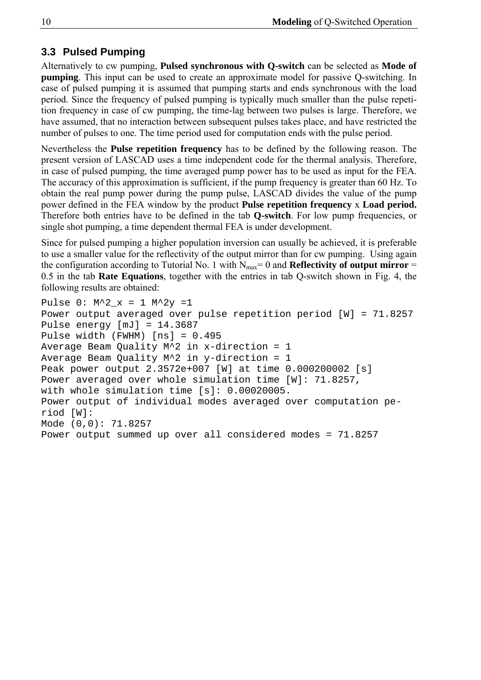### <span id="page-11-0"></span>**3.3 Pulsed Pumping**

Alternatively to cw pumping, **Pulsed synchronous with Q-switch** can be selected as **Mode of pumping**. This input can be used to create an approximate model for passive Q-switching. In case of pulsed pumping it is assumed that pumping starts and ends synchronous with the load period. Since the frequency of pulsed pumping is typically much smaller than the pulse repetition frequency in case of cw pumping, the time-lag between two pulses is large. Therefore, we have assumed, that no interaction between subsequent pulses takes place, and have restricted the number of pulses to one. The time period used for computation ends with the pulse period.

Nevertheless the **Pulse repetition frequency** has to be defined by the following reason. The present version of LASCAD uses a time independent code for the thermal analysis. Therefore, in case of pulsed pumping, the time averaged pump power has to be used as input for the FEA. The accuracy of this approximation is sufficient, if the pump frequency is greater than 60 Hz. To obtain the real pump power during the pump pulse, LASCAD divides the value of the pump power defined in the FEA window by the product **Pulse repetition frequency** x **Load period.** Therefore both entries have to be defined in the tab **Q-switch**. For low pump frequencies, or single shot pumping, a time dependent thermal FEA is under development.

Since for pulsed pumping a higher population inversion can usually be achieved, it is preferable to use a smaller value for the reflectivity of the output mirror than for cw pumping. Using again the configuration according to Tutorial No. 1 with  $N_{max} = 0$  and **Reflectivity of output mirror** = 0.5 in the tab **Rate Equations**, together with the entries in tab Q-switch shown in Fig. 4, the following results are obtained:

```
Pulse 0: M^2 \times = 1 M^2 \times =1Power output averaged over pulse repetition period [W] = 71.8257 
Pulse energy [mJ] = 14.3687 
Pulse width (FWHM) [ns] = 0.495 
Average Beam Quality M^2 in x-direction = 1 
Average Beam Quality M^2 in y-direction = 1 
Peak power output 2.3572e+007 [W] at time 0.000200002 [s] 
Power averaged over whole simulation time [W]: 71.8257, 
with whole simulation time [s]: 0.00020005. 
Power output of individual modes averaged over computation pe-
riod [W]: 
Mode (0,0): 71.8257 
Power output summed up over all considered modes = 71.8257
```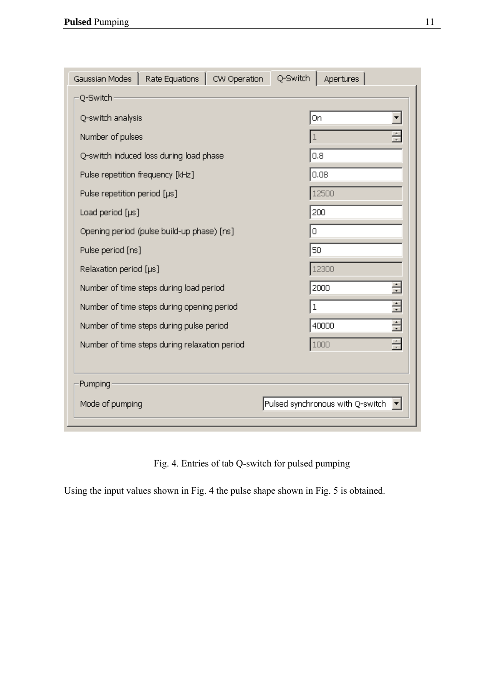| Q-Switch<br>Rate Equations  <br>Apertures<br>Gaussian Modes<br>CW Operation |                                  |  |
|-----------------------------------------------------------------------------|----------------------------------|--|
| Q-Switch                                                                    |                                  |  |
| Q-switch analysis                                                           | On                               |  |
| Number of pulses                                                            |                                  |  |
| Q-switch induced loss during load phase                                     | 0.8                              |  |
| Pulse repetition frequency [kHz]                                            | 0.08                             |  |
| Pulse repetition period [µs]                                                | 12500                            |  |
| Load period [µs]                                                            | 200                              |  |
| Opening period (pulse build-up phase) [ns]                                  | 0                                |  |
| Pulse period [ns]                                                           | 50                               |  |
| Relaxation period [µs]                                                      | 12300                            |  |
| Number of time steps during load period                                     | ÷<br>2000                        |  |
| Number of time steps during opening period                                  | Ė<br>$\mathbf 1$                 |  |
| Number of time steps during pulse period                                    | Ė<br>40000                       |  |
| Number of time steps during relaxation period                               | ÷<br>1000                        |  |
|                                                                             |                                  |  |
| Pumping                                                                     |                                  |  |
| Mode of pumping                                                             | Pulsed synchronous with Q-switch |  |

Fig. 4. Entries of tab Q-switch for pulsed pumping

Using the input values shown in Fig. 4 the pulse shape shown in Fig. 5 is obtained.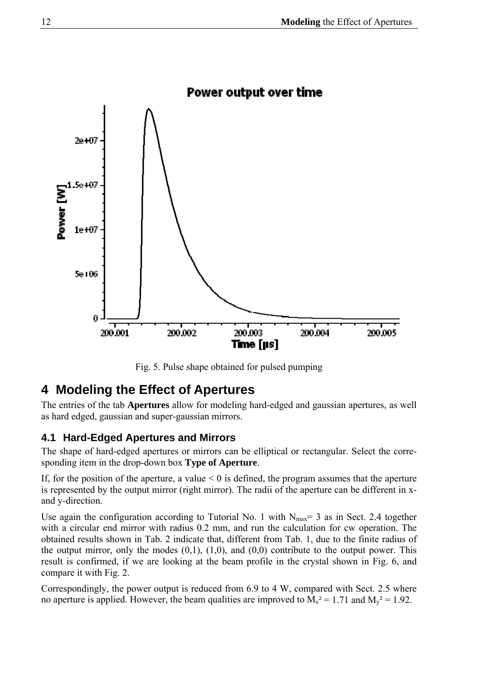<span id="page-13-0"></span>

Fig. 5. Pulse shape obtained for pulsed pumping

## **4 Modeling the Effect of Apertures**

The entries of the tab **Apertures** allow for modeling hard-edged and gaussian apertures, as well as hard edged, gaussian and super-gaussian mirrors.

## **4.1 Hard-Edged Apertures and Mirrors**

The shape of hard-edged apertures or mirrors can be elliptical or rectangular. Select the corresponding item in the drop-down box **Type of Aperture**.

If, for the position of the aperture, a value  $\leq 0$  is defined, the program assumes that the aperture is represented by the output mirror (right mirror). The radii of the aperture can be different in xand y-direction.

Use again the configuration according to Tutorial No. 1 with  $N_{\text{max}}= 3$  as in Sect. 2.4 together with a circular end mirror with radius 0.2 mm, and run the calculation for cw operation. The obtained results shown in Tab. 2 indicate that, different from Tab. 1, due to the finite radius of the output mirror, only the modes  $(0,1)$ ,  $(1,0)$ , and  $(0,0)$  contribute to the output power. This result is confirmed, if we are looking at the beam profile in the crystal shown in Fig. 6, and compare it with Fig. 2.

Correspondingly, the power output is reduced from 6.9 to 4 W, compared with Sect. 2.5 where no aperture is applied. However, the beam qualities are improved to  $M_x^2 = 1.71$  and  $M_y^2 = 1.92$ .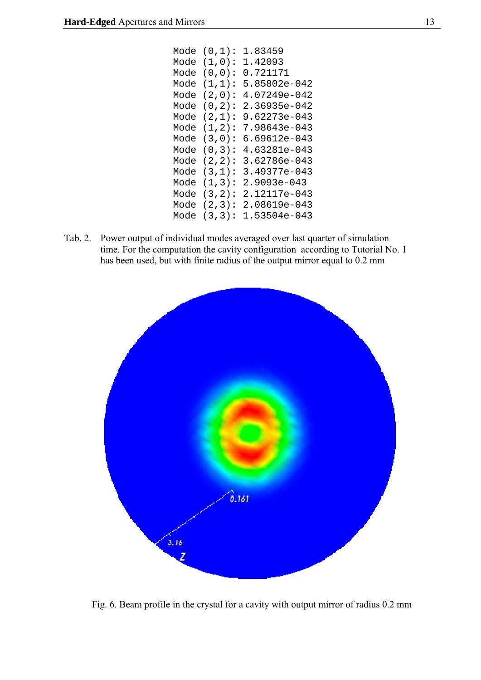| Mode | (0,1):     | 1.83459      |
|------|------------|--------------|
| Mode | (1,0):     | 1.42093      |
| Mode | $(0,0)$ :  | 0.721171     |
| Mode | (1,1):     | 5.85802e-042 |
| Mode | $(2,0)$ :  | 4.07249e-042 |
| Mode | $(0, 2)$ : | 2.36935e-042 |
| Mode | (2,1):     | 9.62273e-043 |
| Mode | (1,2):     | 7.98643e-043 |
| Mode | (3,0):     | 6.69612e-043 |
| Mode | (0,3):     | 4.63281e-043 |
| Mode | $(2, 2)$ : | 3.62786e-043 |
| Mode | (3,1):     | 3.49377e-043 |
| Mode | (1,3):     | 2.9093e-043  |
| Mode | (3,2):     | 2.12117e-043 |
| Mode | (2,3):     | 2.08619e-043 |
| Mode | (3,3):     | 1.53504e-043 |

Tab. 2. Power output of individual modes averaged over last quarter of simulation time. For the computation the cavity configuration according to Tutorial No. 1 has been used, but with finite radius of the output mirror equal to 0.2 mm



Fig. 6. Beam profile in the crystal for a cavity with output mirror of radius 0.2 mm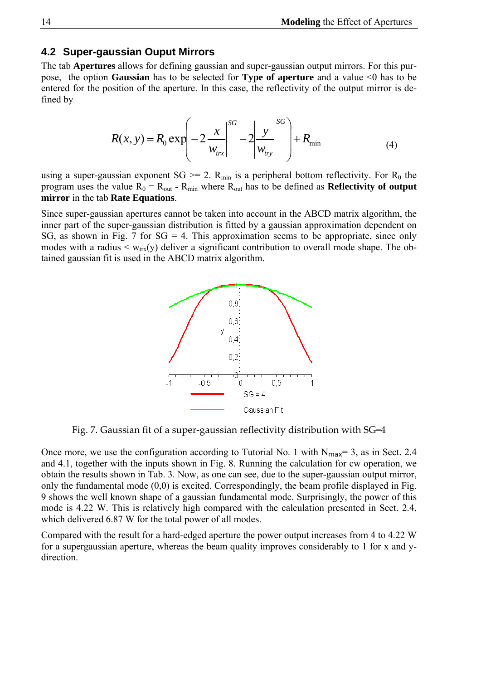#### <span id="page-15-0"></span>**4.2 Super-gaussian Ouput Mirrors**

The tab **Apertures** allows for defining gaussian and super-gaussian output mirrors. For this purpose, the option **Gaussian** has to be selected for **Type of aperture** and a value <0 has to be entered for the position of the aperture. In this case, the reflectivity of the output mirror is defined by

$$
R(x, y) = R_0 \exp\left(-2\left|\frac{x}{w_{\text{trx}}}\right|^{SG} - 2\left|\frac{y}{w_{\text{try}}}\right|^{SG}\right) + R_{\text{min}}
$$
(4)

using a super-gaussian exponent  $SG \ge 2$ . R<sub>min</sub> is a peripheral bottom reflectivity. For R<sub>0</sub> the program uses the value  $R_0 = R_{out}$  -  $R_{min}$  where  $R_{out}$  has to be defined as **Reflectivity of output mirror** in the tab **Rate Equations**.

Since super-gaussian apertures cannot be taken into account in the ABCD matrix algorithm, the inner part of the super-gaussian distribution is fitted by a gaussian approximation dependent on SG, as shown in Fig. 7 for  $SG = 4$ . This approximation seems to be appropriate, since only modes with a radius  $\langle w_{trx}(y) \rangle$  deliver a significant contribution to overall mode shape. The obtained gaussian fit is used in the ABCD matrix algorithm.



Fig. 7. Gaussian fit of a super-gaussian reflectivity distribution with SG=4

Once more, we use the configuration according to Tutorial No. 1 with  $N_{\text{max}}= 3$ , as in Sect. 2.4 and 4.1, together with the inputs shown in Fig. 8. Running the calculation for cw operation, we obtain the results shown in Tab. 3. Now, as one can see, due to the super-gaussian output mirror, only the fundamental mode (0,0) is excited. Correspondingly, the beam profile displayed in Fig. 9 shows the well known shape of a gaussian fundamental mode. Surprisingly, the power of this mode is 4.22 W. This is relatively high compared with the calculation presented in Sect. 2.4, which delivered 6.87 W for the total power of all modes.

Compared with the result for a hard-edged aperture the power output increases from 4 to 4.22 W for a supergaussian aperture, whereas the beam quality improves considerably to 1 for x and ydirection.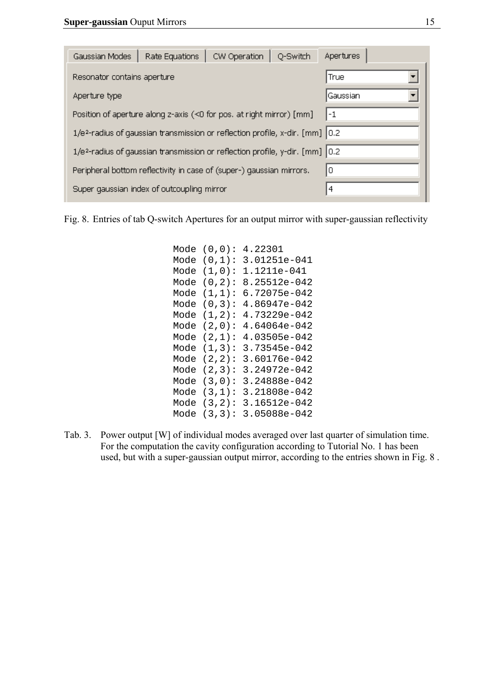| CW Operation<br>Rate Equations<br>O-Switch<br>Gaussian Modes                                   | Apertures |  |  |
|------------------------------------------------------------------------------------------------|-----------|--|--|
| Resonator contains aperture                                                                    | True      |  |  |
| Aperture type                                                                                  | Gaussian  |  |  |
| Position of aperture along z-axis (<0 for pos. at right mirror) [mm]<br>l-1                    |           |  |  |
| 1/e <sup>2</sup> -radius of gaussian transmission or reflection profile, x-dir. [mm] 0.2       |           |  |  |
| $1/e2$ -radius of qaussian transmission or reflection profile, y-dir. [mm] $\vert 0.2 \rangle$ |           |  |  |
| I٥<br>Peripheral bottom reflectivity in case of (super-) gaussian mirrors.                     |           |  |  |
| Super gaussian index of outcoupling mirror                                                     | 4         |  |  |

Fig. 8. Entries of tab Q-switch Apertures for an output mirror with super-gaussian reflectivity

| Mode | (0,0):     | 4.22301      |
|------|------------|--------------|
| Mode | (0,1):     | 3.01251e-041 |
| Mode | (1,0):     | 1.1211e-041  |
| Mode | $(0, 2)$ : | 8.25512e-042 |
| Mode | (1,1):     | 6.72075e-042 |
| Mode | (0,3):     | 4.86947e-042 |
| Mode | (1,2):     | 4.73229e-042 |
| Mode | $(2,0)$ :  | 4.64064e-042 |
| Mode | (2,1):     | 4.03505e-042 |
| Mode | (1,3):     | 3.73545e-042 |
| Mode | $(2, 2)$ : | 3.60176e-042 |
| Mode | (2,3):     | 3.24972e-042 |
| Mode | (3,0):     | 3.24888e-042 |
| Mode | (3,1):     | 3.21808e-042 |
| Mode | $(3, 2)$ : | 3.16512e-042 |
| Mode | (3,3):     | 3.05088e-042 |

Tab. 3. Power output [W] of individual modes averaged over last quarter of simulation time. For the computation the cavity configuration according to Tutorial No. 1 has been used, but with a super-gaussian output mirror, according to the entries shown in Fig. 8 .